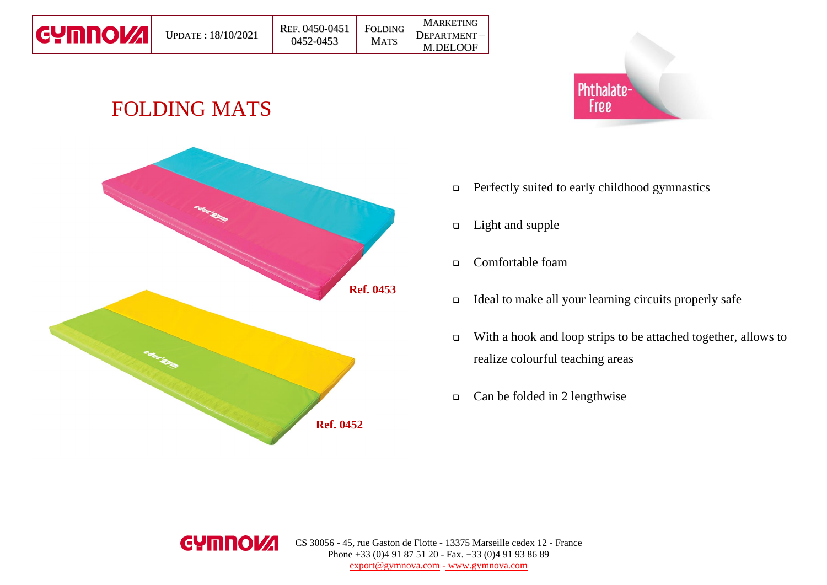| <b>CYMNOVA</b> |
|----------------|
|----------------|

# FOLDING MATS





- ❑ Perfectly suited to early childhood gymnastics
- ❑ Light and supple

MARKETING

M.DELOOF

- ❑ Comfortable foam
- ❑ Ideal to make all your learning circuits properly safe
- ❑ With a hook and loop strips to be attached together, allows to realize colourful teaching areas
- ❑ Can be folded in 2 lengthwise